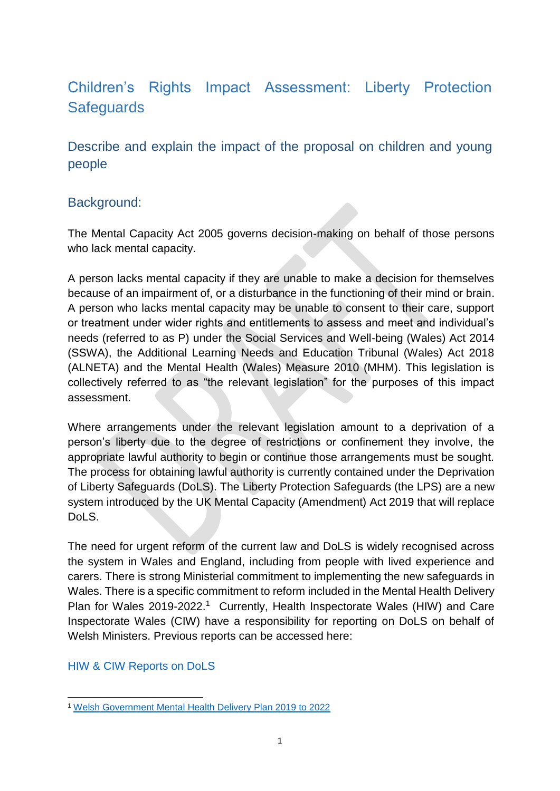# Children's Rights Impact Assessment: Liberty Protection **Safeguards**

Describe and explain the impact of the proposal on children and young people

## Background:

The Mental Capacity Act 2005 governs decision-making on behalf of those persons who lack mental capacity.

A person lacks mental capacity if they are unable to make a decision for themselves because of an impairment of, or a disturbance in the functioning of their mind or brain. A person who lacks mental capacity may be unable to consent to their care, support or treatment under wider rights and entitlements to assess and meet and individual's needs (referred to as P) under the Social Services and Well-being (Wales) Act 2014 (SSWA), the Additional Learning Needs and Education Tribunal (Wales) Act 2018 (ALNETA) and the Mental Health (Wales) Measure 2010 (MHM). This legislation is collectively referred to as "the relevant legislation" for the purposes of this impact assessment.

Where arrangements under the relevant legislation amount to a deprivation of a person's liberty due to the degree of restrictions or confinement they involve, the appropriate lawful authority to begin or continue those arrangements must be sought. The process for obtaining lawful authority is currently contained under the Deprivation of Liberty Safeguards (DoLS). The Liberty Protection Safeguards (the LPS) are a new system introduced by the UK Mental Capacity (Amendment) Act 2019 that will replace DoLS.

The need for urgent reform of the current law and DoLS is widely recognised across the system in Wales and England, including from people with lived experience and carers. There is strong Ministerial commitment to implementing the new safeguards in Wales. There is a specific commitment to reform included in the Mental Health Delivery Plan for Wales 2019-2022.<sup>1</sup> Currently, Health Inspectorate Wales (HIW) and Care Inspectorate Wales (CIW) have a responsibility for reporting on DoLS on behalf of Welsh Ministers. Previous reports can be accessed here:

### [HIW & CIW Reports on DoLS](https://hiw.org.uk/national-reviews-and-reports.)

**<sup>.</sup>** <sup>1</sup> [Welsh Government Mental Health Delivery Plan 2019 to 2022](https://gov.wales/mental-health-delivery-plan-2019-to-2022)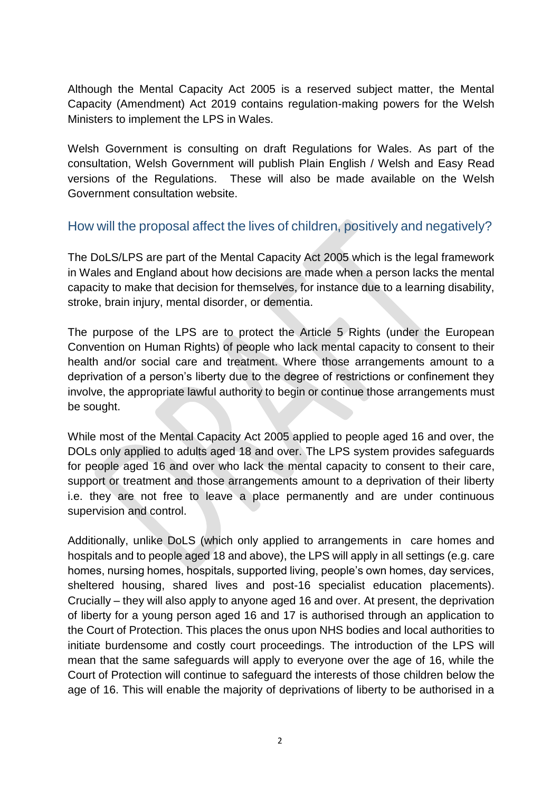Although the Mental Capacity Act 2005 is a reserved subject matter, the Mental Capacity (Amendment) Act 2019 contains regulation-making powers for the Welsh Ministers to implement the LPS in Wales.

Welsh Government is consulting on draft Regulations for Wales. As part of the consultation, Welsh Government will publish Plain English / Welsh and Easy Read versions of the Regulations. These will also be made available on the Welsh Government consultation website.

## How will the proposal affect the lives of children, positively and negatively?

The DoLS/LPS are part of the Mental Capacity Act 2005 which is the legal framework in Wales and England about how decisions are made when a person lacks the mental capacity to make that decision for themselves, for instance due to a learning disability, stroke, brain injury, mental disorder, or dementia.

The purpose of the LPS are to protect the Article 5 Rights (under the European Convention on Human Rights) of people who lack mental capacity to consent to their health and/or social care and treatment. Where those arrangements amount to a deprivation of a person's liberty due to the degree of restrictions or confinement they involve, the appropriate lawful authority to begin or continue those arrangements must be sought.

While most of the Mental Capacity Act 2005 applied to people aged 16 and over, the DOLs only applied to adults aged 18 and over. The LPS system provides safeguards for people aged 16 and over who lack the mental capacity to consent to their care, support or treatment and those arrangements amount to a deprivation of their liberty i.e. they are not free to leave a place permanently and are under continuous supervision and control.

Additionally, unlike DoLS (which only applied to arrangements in care homes and hospitals and to people aged 18 and above), the LPS will apply in all settings (e.g. care homes, nursing homes, hospitals, supported living, people's own homes, day services, sheltered housing, shared lives and post-16 specialist education placements). Crucially – they will also apply to anyone aged 16 and over. At present, the deprivation of liberty for a young person aged 16 and 17 is authorised through an application to the Court of Protection. This places the onus upon NHS bodies and local authorities to initiate burdensome and costly court proceedings. The introduction of the LPS will mean that the same safeguards will apply to everyone over the age of 16, while the Court of Protection will continue to safeguard the interests of those children below the age of 16. This will enable the majority of deprivations of liberty to be authorised in a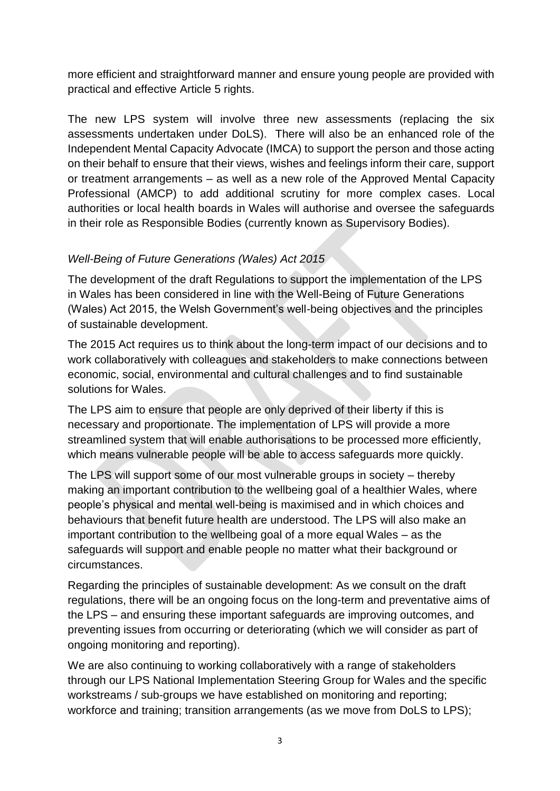more efficient and straightforward manner and ensure young people are provided with practical and effective Article 5 rights.

The new LPS system will involve three new assessments (replacing the six assessments undertaken under DoLS). There will also be an enhanced role of the Independent Mental Capacity Advocate (IMCA) to support the person and those acting on their behalf to ensure that their views, wishes and feelings inform their care, support or treatment arrangements – as well as a new role of the Approved Mental Capacity Professional (AMCP) to add additional scrutiny for more complex cases. Local authorities or local health boards in Wales will authorise and oversee the safeguards in their role as Responsible Bodies (currently known as Supervisory Bodies).

### *Well-Being of Future Generations (Wales) Act 2015*

The development of the draft Regulations to support the implementation of the LPS in Wales has been considered in line with the Well-Being of Future Generations (Wales) Act 2015, the Welsh Government's well-being objectives and the principles of sustainable development.

The 2015 Act requires us to think about the long-term impact of our decisions and to work collaboratively with colleagues and stakeholders to make connections between economic, social, environmental and cultural challenges and to find sustainable solutions for Wales.

The LPS aim to ensure that people are only deprived of their liberty if this is necessary and proportionate. The implementation of LPS will provide a more streamlined system that will enable authorisations to be processed more efficiently, which means vulnerable people will be able to access safeguards more quickly.

The LPS will support some of our most vulnerable groups in society – thereby making an important contribution to the wellbeing goal of a healthier Wales, where people's physical and mental well-being is maximised and in which choices and behaviours that benefit future health are understood. The LPS will also make an important contribution to the wellbeing goal of a more equal Wales – as the safeguards will support and enable people no matter what their background or circumstances.

Regarding the principles of sustainable development: As we consult on the draft regulations, there will be an ongoing focus on the long-term and preventative aims of the LPS – and ensuring these important safeguards are improving outcomes, and preventing issues from occurring or deteriorating (which we will consider as part of ongoing monitoring and reporting).

We are also continuing to working collaboratively with a range of stakeholders through our LPS National Implementation Steering Group for Wales and the specific workstreams / sub-groups we have established on monitoring and reporting; workforce and training; transition arrangements (as we move from DoLS to LPS);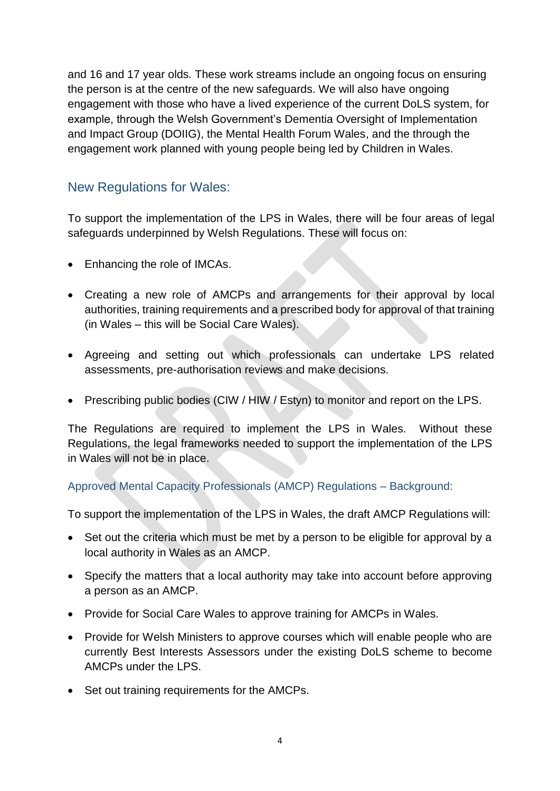and 16 and 17 year olds. These work streams include an ongoing focus on ensuring the person is at the centre of the new safeguards. We will also have ongoing engagement with those who have a lived experience of the current DoLS system, for example, through the Welsh Government's Dementia Oversight of Implementation and Impact Group (DOIIG), the Mental Health Forum Wales, and the through the engagement work planned with young people being led by Children in Wales.

### New Regulations for Wales:

To support the implementation of the LPS in Wales, there will be four areas of legal safeguards underpinned by Welsh Regulations. These will focus on:

- Enhancing the role of IMCAs.
- Creating a new role of AMCPs and arrangements for their approval by local authorities, training requirements and a prescribed body for approval of that training (in Wales – this will be Social Care Wales).
- Agreeing and setting out which professionals can undertake LPS related assessments, pre-authorisation reviews and make decisions.
- Prescribing public bodies (CIW / HIW / Estyn) to monitor and report on the LPS.

The Regulations are required to implement the LPS in Wales. Without these Regulations, the legal frameworks needed to support the implementation of the LPS in Wales will not be in place.

### Approved Mental Capacity Professionals (AMCP) Regulations – Background:

To support the implementation of the LPS in Wales, the draft AMCP Regulations will:

- Set out the criteria which must be met by a person to be eligible for approval by a local authority in Wales as an AMCP.
- Specify the matters that a local authority may take into account before approving a person as an AMCP.
- Provide for Social Care Wales to approve training for AMCPs in Wales.
- Provide for Welsh Ministers to approve courses which will enable people who are currently Best Interests Assessors under the existing DoLS scheme to become AMCPs under the LPS.
- Set out training requirements for the AMCPs.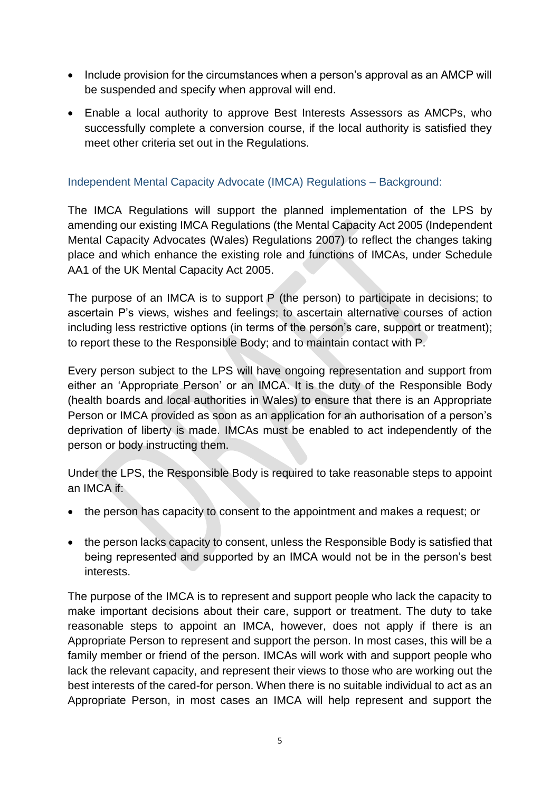- Include provision for the circumstances when a person's approval as an AMCP will be suspended and specify when approval will end.
- Enable a local authority to approve Best Interests Assessors as AMCPs, who successfully complete a conversion course, if the local authority is satisfied they meet other criteria set out in the Regulations.

### Independent Mental Capacity Advocate (IMCA) Regulations – Background:

The IMCA Regulations will support the planned implementation of the LPS by amending our existing IMCA Regulations (the Mental Capacity Act 2005 (Independent Mental Capacity Advocates (Wales) Regulations 2007) to reflect the changes taking place and which enhance the existing role and functions of IMCAs, under Schedule AA1 of the UK Mental Capacity Act 2005.

The purpose of an IMCA is to support P (the person) to participate in decisions; to ascertain P's views, wishes and feelings; to ascertain alternative courses of action including less restrictive options (in terms of the person's care, support or treatment); to report these to the Responsible Body; and to maintain contact with P.

Every person subject to the LPS will have ongoing representation and support from either an 'Appropriate Person' or an IMCA. It is the duty of the Responsible Body (health boards and local authorities in Wales) to ensure that there is an Appropriate Person or IMCA provided as soon as an application for an authorisation of a person's deprivation of liberty is made. IMCAs must be enabled to act independently of the person or body instructing them.

Under the LPS, the Responsible Body is required to take reasonable steps to appoint an IMCA if:

- the person has capacity to consent to the appointment and makes a request; or
- the person lacks capacity to consent, unless the Responsible Body is satisfied that being represented and supported by an IMCA would not be in the person's best interests.

The purpose of the IMCA is to represent and support people who lack the capacity to make important decisions about their care, support or treatment. The duty to take reasonable steps to appoint an IMCA, however, does not apply if there is an Appropriate Person to represent and support the person. In most cases, this will be a family member or friend of the person. IMCAs will work with and support people who lack the relevant capacity, and represent their views to those who are working out the best interests of the cared-for person. When there is no suitable individual to act as an Appropriate Person, in most cases an IMCA will help represent and support the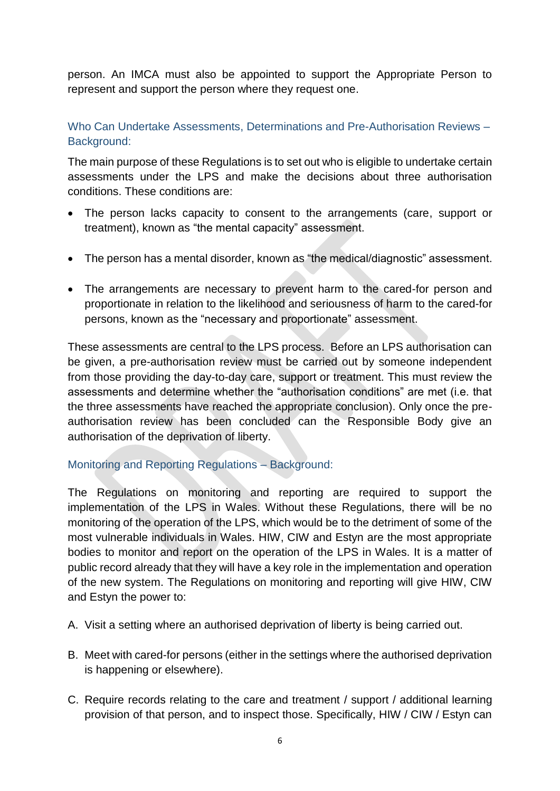person. An IMCA must also be appointed to support the Appropriate Person to represent and support the person where they request one.

Who Can Undertake Assessments, Determinations and Pre-Authorisation Reviews – Background:

The main purpose of these Regulations is to set out who is eligible to undertake certain assessments under the LPS and make the decisions about three authorisation conditions. These conditions are:

- The person lacks capacity to consent to the arrangements (care, support or treatment), known as "the mental capacity" assessment.
- The person has a mental disorder, known as "the medical/diagnostic" assessment.
- The arrangements are necessary to prevent harm to the cared-for person and proportionate in relation to the likelihood and seriousness of harm to the cared-for persons, known as the "necessary and proportionate" assessment.

These assessments are central to the LPS process. Before an LPS authorisation can be given, a pre-authorisation review must be carried out by someone independent from those providing the day-to-day care, support or treatment. This must review the assessments and determine whether the "authorisation conditions" are met (i.e. that the three assessments have reached the appropriate conclusion). Only once the preauthorisation review has been concluded can the Responsible Body give an authorisation of the deprivation of liberty.

### Monitoring and Reporting Regulations – Background:

The Regulations on monitoring and reporting are required to support the implementation of the LPS in Wales. Without these Regulations, there will be no monitoring of the operation of the LPS, which would be to the detriment of some of the most vulnerable individuals in Wales. HIW, CIW and Estyn are the most appropriate bodies to monitor and report on the operation of the LPS in Wales. It is a matter of public record already that they will have a key role in the implementation and operation of the new system. The Regulations on monitoring and reporting will give HIW, CIW and Estyn the power to:

- A. Visit a setting where an authorised deprivation of liberty is being carried out.
- B. Meet with cared-for persons (either in the settings where the authorised deprivation is happening or elsewhere).
- C. Require records relating to the care and treatment / support / additional learning provision of that person, and to inspect those. Specifically, HIW / CIW / Estyn can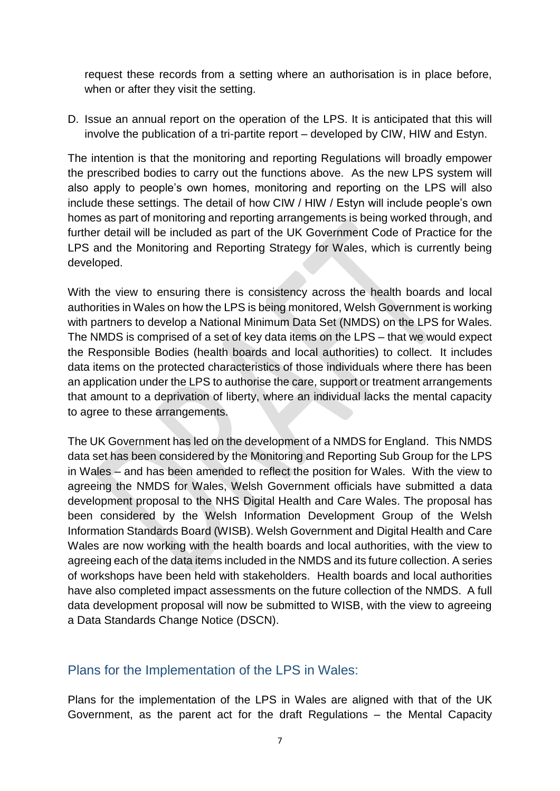request these records from a setting where an authorisation is in place before, when or after they visit the setting.

D. Issue an annual report on the operation of the LPS. It is anticipated that this will involve the publication of a tri-partite report – developed by CIW, HIW and Estyn.

The intention is that the monitoring and reporting Regulations will broadly empower the prescribed bodies to carry out the functions above. As the new LPS system will also apply to people's own homes, monitoring and reporting on the LPS will also include these settings. The detail of how CIW / HIW / Estyn will include people's own homes as part of monitoring and reporting arrangements is being worked through, and further detail will be included as part of the UK Government Code of Practice for the LPS and the Monitoring and Reporting Strategy for Wales, which is currently being developed.

With the view to ensuring there is consistency across the health boards and local authorities in Wales on how the LPS is being monitored, Welsh Government is working with partners to develop a National Minimum Data Set (NMDS) on the LPS for Wales. The NMDS is comprised of a set of key data items on the LPS – that we would expect the Responsible Bodies (health boards and local authorities) to collect. It includes data items on the protected characteristics of those individuals where there has been an application under the LPS to authorise the care, support or treatment arrangements that amount to a deprivation of liberty, where an individual lacks the mental capacity to agree to these arrangements.

The UK Government has led on the development of a NMDS for England. This NMDS data set has been considered by the Monitoring and Reporting Sub Group for the LPS in Wales – and has been amended to reflect the position for Wales. With the view to agreeing the NMDS for Wales, Welsh Government officials have submitted a data development proposal to the NHS Digital Health and Care Wales. The proposal has been considered by the Welsh Information Development Group of the Welsh Information Standards Board (WISB). Welsh Government and Digital Health and Care Wales are now working with the health boards and local authorities, with the view to agreeing each of the data items included in the NMDS and its future collection. A series of workshops have been held with stakeholders. Health boards and local authorities have also completed impact assessments on the future collection of the NMDS. A full data development proposal will now be submitted to WISB, with the view to agreeing a Data Standards Change Notice (DSCN).

### Plans for the Implementation of the LPS in Wales:

Plans for the implementation of the LPS in Wales are aligned with that of the UK Government, as the parent act for the draft Regulations – the Mental Capacity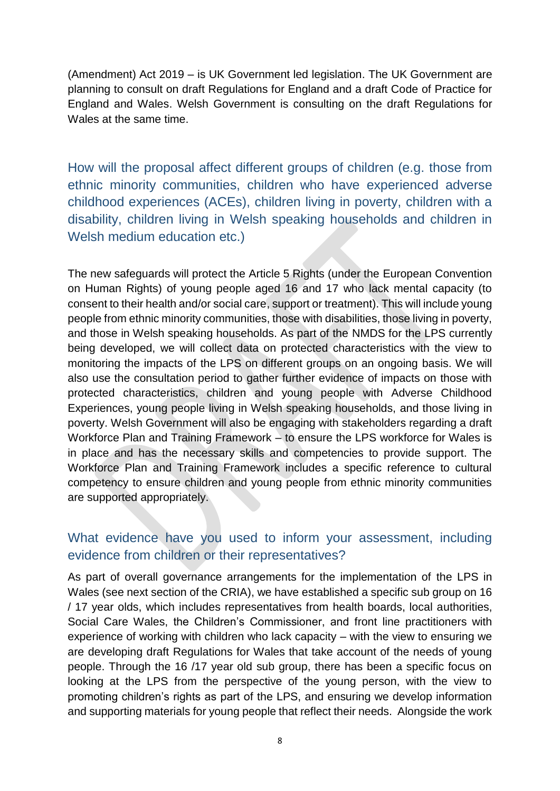(Amendment) Act 2019 – is UK Government led legislation. The UK Government are planning to consult on draft Regulations for England and a draft Code of Practice for England and Wales. Welsh Government is consulting on the draft Regulations for Wales at the same time.

How will the proposal affect different groups of children (e.g. those from ethnic minority communities, children who have experienced adverse childhood experiences (ACEs), children living in poverty, children with a disability, children living in Welsh speaking households and children in Welsh medium education etc.)

The new safeguards will protect the Article 5 Rights (under the European Convention on Human Rights) of young people aged 16 and 17 who lack mental capacity (to consent to their health and/or social care, support or treatment). This will include young people from ethnic minority communities, those with disabilities, those living in poverty, and those in Welsh speaking households. As part of the NMDS for the LPS currently being developed, we will collect data on protected characteristics with the view to monitoring the impacts of the LPS on different groups on an ongoing basis. We will also use the consultation period to gather further evidence of impacts on those with protected characteristics, children and young people with Adverse Childhood Experiences, young people living in Welsh speaking households, and those living in poverty. Welsh Government will also be engaging with stakeholders regarding a draft Workforce Plan and Training Framework – to ensure the LPS workforce for Wales is in place and has the necessary skills and competencies to provide support. The Workforce Plan and Training Framework includes a specific reference to cultural competency to ensure children and young people from ethnic minority communities are supported appropriately.

## What evidence have you used to inform your assessment, including evidence from children or their representatives?

As part of overall governance arrangements for the implementation of the LPS in Wales (see next section of the CRIA), we have established a specific sub group on 16 / 17 year olds, which includes representatives from health boards, local authorities, Social Care Wales, the Children's Commissioner, and front line practitioners with experience of working with children who lack capacity – with the view to ensuring we are developing draft Regulations for Wales that take account of the needs of young people. Through the 16 /17 year old sub group, there has been a specific focus on looking at the LPS from the perspective of the young person, with the view to promoting children's rights as part of the LPS, and ensuring we develop information and supporting materials for young people that reflect their needs. Alongside the work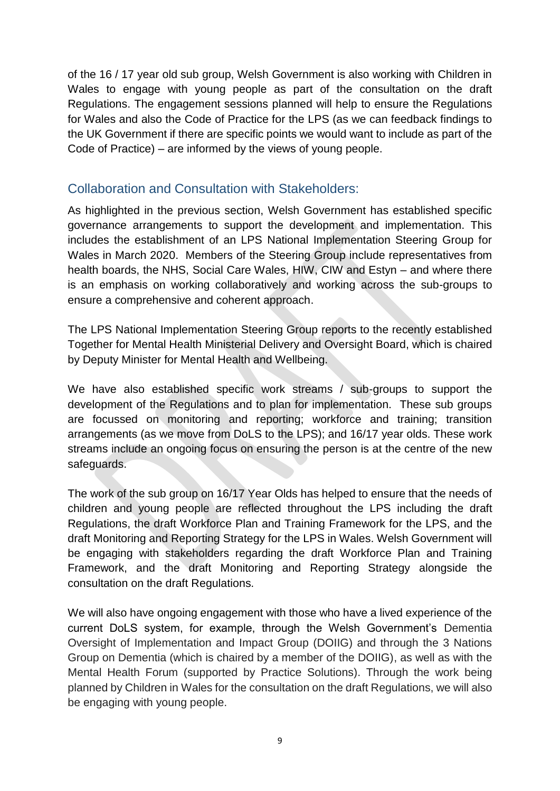of the 16 / 17 year old sub group, Welsh Government is also working with Children in Wales to engage with young people as part of the consultation on the draft Regulations. The engagement sessions planned will help to ensure the Regulations for Wales and also the Code of Practice for the LPS (as we can feedback findings to the UK Government if there are specific points we would want to include as part of the Code of Practice) – are informed by the views of young people.

### Collaboration and Consultation with Stakeholders:

As highlighted in the previous section, Welsh Government has established specific governance arrangements to support the development and implementation. This includes the establishment of an LPS National Implementation Steering Group for Wales in March 2020. Members of the Steering Group include representatives from health boards, the NHS, Social Care Wales, HIW, CIW and Estyn – and where there is an emphasis on working collaboratively and working across the sub-groups to ensure a comprehensive and coherent approach.

The LPS National Implementation Steering Group reports to the recently established Together for Mental Health Ministerial Delivery and Oversight Board, which is chaired by Deputy Minister for Mental Health and Wellbeing.

We have also established specific work streams / sub-groups to support the development of the Regulations and to plan for implementation. These sub groups are focussed on monitoring and reporting; workforce and training; transition arrangements (as we move from DoLS to the LPS); and 16/17 year olds. These work streams include an ongoing focus on ensuring the person is at the centre of the new safeguards.

The work of the sub group on 16/17 Year Olds has helped to ensure that the needs of children and young people are reflected throughout the LPS including the draft Regulations, the draft Workforce Plan and Training Framework for the LPS, and the draft Monitoring and Reporting Strategy for the LPS in Wales. Welsh Government will be engaging with stakeholders regarding the draft Workforce Plan and Training Framework, and the draft Monitoring and Reporting Strategy alongside the consultation on the draft Regulations.

We will also have ongoing engagement with those who have a lived experience of the current DoLS system, for example, through the Welsh Government's Dementia Oversight of Implementation and Impact Group (DOIIG) and through the 3 Nations Group on Dementia (which is chaired by a member of the DOIIG), as well as with the Mental Health Forum (supported by Practice Solutions). Through the work being planned by Children in Wales for the consultation on the draft Regulations, we will also be engaging with young people.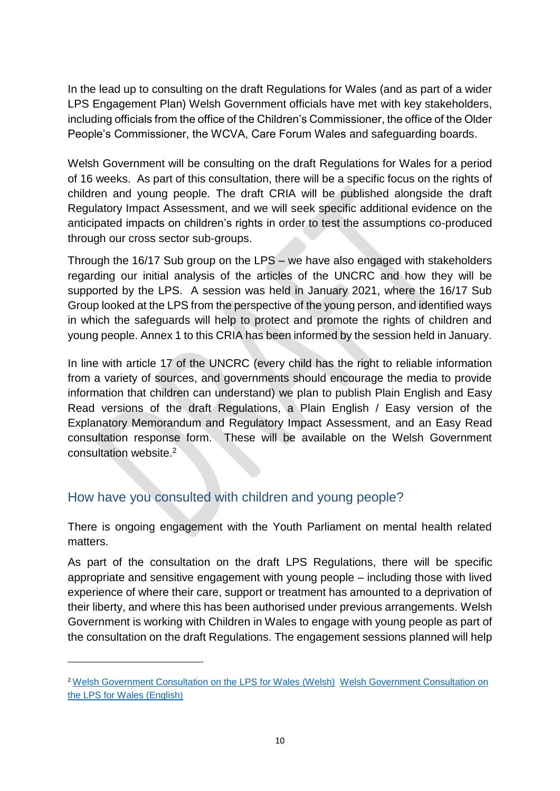In the lead up to consulting on the draft Regulations for Wales (and as part of a wider LPS Engagement Plan) Welsh Government officials have met with key stakeholders, including officials from the office of the Children's Commissioner, the office of the Older People's Commissioner, the WCVA, Care Forum Wales and safeguarding boards.

Welsh Government will be consulting on the draft Regulations for Wales for a period of 16 weeks. As part of this consultation, there will be a specific focus on the rights of children and young people. The draft CRIA will be published alongside the draft Regulatory Impact Assessment, and we will seek specific additional evidence on the anticipated impacts on children's rights in order to test the assumptions co-produced through our cross sector sub-groups.

Through the 16/17 Sub group on the LPS – we have also engaged with stakeholders regarding our initial analysis of the articles of the UNCRC and how they will be supported by the LPS. A session was held in January 2021, where the 16/17 Sub Group looked at the LPS from the perspective of the young person, and identified ways in which the safeguards will help to protect and promote the rights of children and young people. Annex 1 to this CRIA has been informed by the session held in January.

In line with article 17 of the UNCRC (every child has the right to reliable information from a variety of sources, and governments should encourage the media to provide information that children can understand) we plan to publish Plain English and Easy Read versions of the draft Regulations, a Plain English / Easy version of the Explanatory Memorandum and Regulatory Impact Assessment, and an Easy Read consultation response form. These will be available on the Welsh Government consultation website.<sup>2</sup>

## How have you consulted with children and young people?

1

There is ongoing engagement with the Youth Parliament on mental health related matters.

As part of the consultation on the draft LPS Regulations, there will be specific appropriate and sensitive engagement with young people – including those with lived experience of where their care, support or treatment has amounted to a deprivation of their liberty, and where this has been authorised under previous arrangements. Welsh Government is working with Children in Wales to engage with young people as part of the consultation on the draft Regulations. The engagement sessions planned will help

<sup>&</sup>lt;sup>2</sup> [Welsh Government Consultation on the LPS for Wales \(Welsh\)](https://llyw.cymru/gweithdrefnau-amddiffyn-rhyddid) Welsh Government Consultation on [the LPS for Wales \(English](https://gov.wales/liberty-protection-safeguards))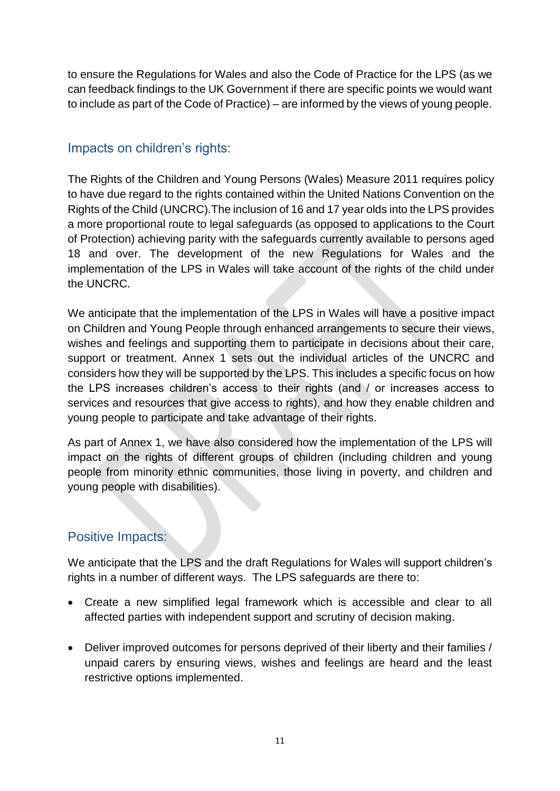to ensure the Regulations for Wales and also the Code of Practice for the LPS (as we can feedback findings to the UK Government if there are specific points we would want to include as part of the Code of Practice) – are informed by the views of young people.

## Impacts on children's rights:

The Rights of the Children and Young Persons (Wales) Measure 2011 requires policy to have due regard to the rights contained within the United Nations Convention on the Rights of the Child (UNCRC).The inclusion of 16 and 17 year olds into the LPS provides a more proportional route to legal safeguards (as opposed to applications to the Court of Protection) achieving parity with the safeguards currently available to persons aged 18 and over. The development of the new Regulations for Wales and the implementation of the LPS in Wales will take account of the rights of the child under the UNCRC.

We anticipate that the implementation of the LPS in Wales will have a positive impact on Children and Young People through enhanced arrangements to secure their views, wishes and feelings and supporting them to participate in decisions about their care, support or treatment. Annex 1 sets out the individual articles of the UNCRC and considers how they will be supported by the LPS. This includes a specific focus on how the LPS increases children's access to their rights (and / or increases access to services and resources that give access to rights), and how they enable children and young people to participate and take advantage of their rights.

As part of Annex 1, we have also considered how the implementation of the LPS will impact on the rights of different groups of children (including children and young people from minority ethnic communities, those living in poverty, and children and young people with disabilities).

## Positive Impacts:

We anticipate that the LPS and the draft Regulations for Wales will support children's rights in a number of different ways. The LPS safeguards are there to:

- Create a new simplified legal framework which is accessible and clear to all affected parties with independent support and scrutiny of decision making.
- Deliver improved outcomes for persons deprived of their liberty and their families / unpaid carers by ensuring views, wishes and feelings are heard and the least restrictive options implemented.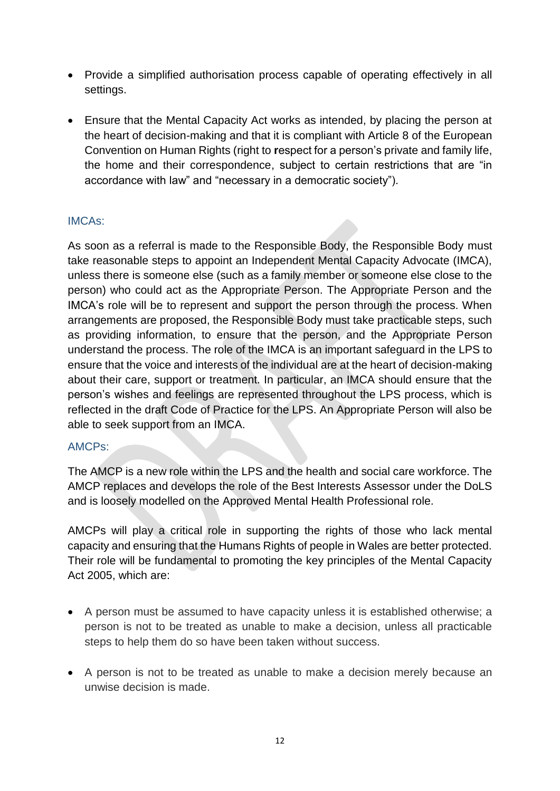- Provide a simplified authorisation process capable of operating effectively in all settings.
- Ensure that the Mental Capacity Act works as intended, by placing the person at the heart of decision-making and that it is compliant with Article 8 of the European Convention on Human Rights (right to **r**espect for a person's private and family life, the home and their correspondence, subject to certain restrictions that are "in accordance with law" and "necessary in a democratic society").

#### IMCAs:

As soon as a referral is made to the Responsible Body, the Responsible Body must take reasonable steps to appoint an Independent Mental Capacity Advocate (IMCA), unless there is someone else (such as a family member or someone else close to the person) who could act as the Appropriate Person. The Appropriate Person and the IMCA's role will be to represent and support the person through the process. When arrangements are proposed, the Responsible Body must take practicable steps, such as providing information, to ensure that the person, and the Appropriate Person understand the process. The role of the IMCA is an important safeguard in the LPS to ensure that the voice and interests of the individual are at the heart of decision-making about their care, support or treatment. In particular, an IMCA should ensure that the person's wishes and feelings are represented throughout the LPS process, which is reflected in the draft Code of Practice for the LPS. An Appropriate Person will also be able to seek support from an IMCA.

### AMCPs:

The AMCP is a new role within the LPS and the health and social care workforce. The AMCP replaces and develops the role of the Best Interests Assessor under the DoLS and is loosely modelled on the Approved Mental Health Professional role.

AMCPs will play a critical role in supporting the rights of those who lack mental capacity and ensuring that the Humans Rights of people in Wales are better protected. Their role will be fundamental to promoting the key principles of the Mental Capacity Act 2005, which are:

- A person must be assumed to have capacity unless it is established otherwise; a person is not to be treated as unable to make a decision, unless all practicable steps to help them do so have been taken without success.
- A person is not to be treated as unable to make a decision merely because an unwise decision is made.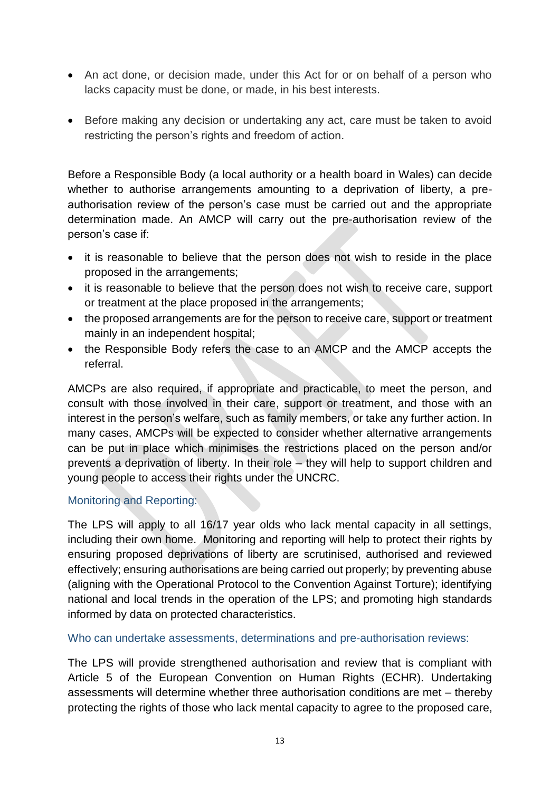- An act done, or decision made, under this Act for or on behalf of a person who lacks capacity must be done, or made, in his best interests.
- Before making any decision or undertaking any act, care must be taken to avoid restricting the person's rights and freedom of action.

Before a Responsible Body (a local authority or a health board in Wales) can decide whether to authorise arrangements amounting to a deprivation of liberty, a preauthorisation review of the person's case must be carried out and the appropriate determination made. An AMCP will carry out the pre-authorisation review of the person's case if:

- it is reasonable to believe that the person does not wish to reside in the place proposed in the arrangements;
- it is reasonable to believe that the person does not wish to receive care, support or treatment at the place proposed in the arrangements;
- the proposed arrangements are for the person to receive care, support or treatment mainly in an independent hospital;
- the Responsible Body refers the case to an AMCP and the AMCP accepts the referral.

AMCPs are also required, if appropriate and practicable, to meet the person, and consult with those involved in their care, support or treatment, and those with an interest in the person's welfare, such as family members, or take any further action. In many cases, AMCPs will be expected to consider whether alternative arrangements can be put in place which minimises the restrictions placed on the person and/or prevents a deprivation of liberty. In their role – they will help to support children and young people to access their rights under the UNCRC.

#### Monitoring and Reporting:

The LPS will apply to all 16/17 year olds who lack mental capacity in all settings, including their own home. Monitoring and reporting will help to protect their rights by ensuring proposed deprivations of liberty are scrutinised, authorised and reviewed effectively; ensuring authorisations are being carried out properly; by preventing abuse (aligning with the Operational Protocol to the Convention Against Torture); identifying national and local trends in the operation of the LPS; and promoting high standards informed by data on protected characteristics.

Who can undertake assessments, determinations and pre-authorisation reviews:

The LPS will provide strengthened authorisation and review that is compliant with Article 5 of the European Convention on Human Rights (ECHR). Undertaking assessments will determine whether three authorisation conditions are met – thereby protecting the rights of those who lack mental capacity to agree to the proposed care,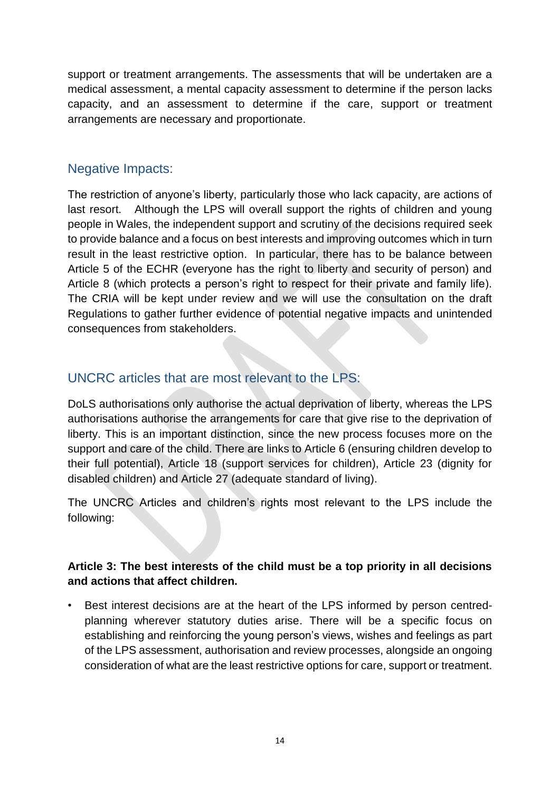support or treatment arrangements. The assessments that will be undertaken are a medical assessment, a mental capacity assessment to determine if the person lacks capacity, and an assessment to determine if the care, support or treatment arrangements are necessary and proportionate.

## Negative Impacts:

The restriction of anyone's liberty, particularly those who lack capacity, are actions of last resort. Although the LPS will overall support the rights of children and young people in Wales, the independent support and scrutiny of the decisions required seek to provide balance and a focus on best interests and improving outcomes which in turn result in the least restrictive option. In particular, there has to be balance between Article 5 of the ECHR (everyone has the right to liberty and security of person) and Article 8 (which protects a person's right to respect for their private and family life). The CRIA will be kept under review and we will use the consultation on the draft Regulations to gather further evidence of potential negative impacts and unintended consequences from stakeholders.

## UNCRC articles that are most relevant to the LPS:

DoLS authorisations only authorise the actual deprivation of liberty, whereas the LPS authorisations authorise the arrangements for care that give rise to the deprivation of liberty. This is an important distinction, since the new process focuses more on the support and care of the child. There are links to Article 6 (ensuring children develop to their full potential), Article 18 (support services for children), Article 23 (dignity for disabled children) and Article 27 (adequate standard of living).

The UNCRC Articles and children's rights most relevant to the LPS include the following:

### **Article 3: The best interests of the child must be a top priority in all decisions and actions that affect children.**

Best interest decisions are at the heart of the LPS informed by person centredplanning wherever statutory duties arise. There will be a specific focus on establishing and reinforcing the young person's views, wishes and feelings as part of the LPS assessment, authorisation and review processes, alongside an ongoing consideration of what are the least restrictive options for care, support or treatment.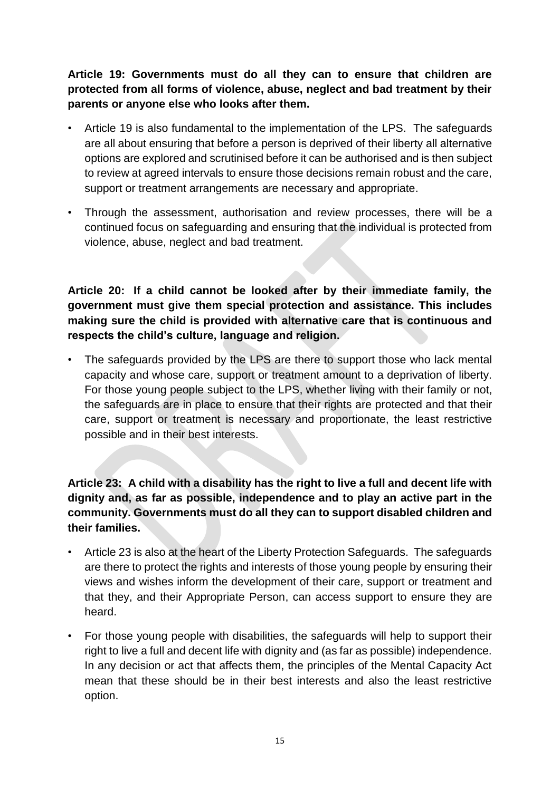**Article 19: Governments must do all they can to ensure that children are protected from all forms of violence, abuse, neglect and bad treatment by their parents or anyone else who looks after them.**

- Article 19 is also fundamental to the implementation of the LPS. The safeguards are all about ensuring that before a person is deprived of their liberty all alternative options are explored and scrutinised before it can be authorised and is then subject to review at agreed intervals to ensure those decisions remain robust and the care, support or treatment arrangements are necessary and appropriate.
- Through the assessment, authorisation and review processes, there will be a continued focus on safeguarding and ensuring that the individual is protected from violence, abuse, neglect and bad treatment.

**Article 20: If a child cannot be looked after by their immediate family, the government must give them special protection and assistance. This includes making sure the child is provided with alternative care that is continuous and respects the child's culture, language and religion.**

• The safeguards provided by the LPS are there to support those who lack mental capacity and whose care, support or treatment amount to a deprivation of liberty. For those young people subject to the LPS, whether living with their family or not, the safeguards are in place to ensure that their rights are protected and that their care, support or treatment is necessary and proportionate, the least restrictive possible and in their best interests.

**Article 23: A child with a disability has the right to live a full and decent life with dignity and, as far as possible, independence and to play an active part in the community. Governments must do all they can to support disabled children and their families.**

- Article 23 is also at the heart of the Liberty Protection Safeguards. The safeguards are there to protect the rights and interests of those young people by ensuring their views and wishes inform the development of their care, support or treatment and that they, and their Appropriate Person, can access support to ensure they are heard.
- For those young people with disabilities, the safeguards will help to support their right to live a full and decent life with dignity and (as far as possible) independence. In any decision or act that affects them, the principles of the Mental Capacity Act mean that these should be in their best interests and also the least restrictive option.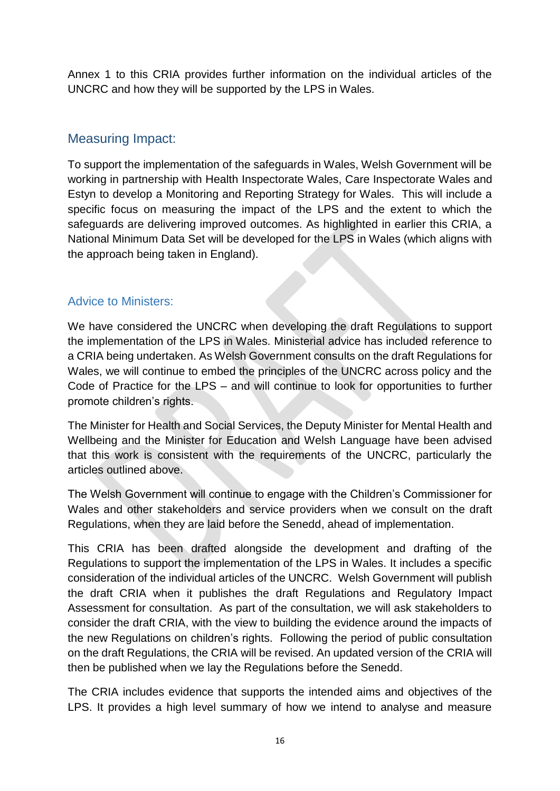Annex 1 to this CRIA provides further information on the individual articles of the UNCRC and how they will be supported by the LPS in Wales.

## Measuring Impact:

To support the implementation of the safeguards in Wales, Welsh Government will be working in partnership with Health Inspectorate Wales, Care Inspectorate Wales and Estyn to develop a Monitoring and Reporting Strategy for Wales. This will include a specific focus on measuring the impact of the LPS and the extent to which the safeguards are delivering improved outcomes. As highlighted in earlier this CRIA, a National Minimum Data Set will be developed for the LPS in Wales (which aligns with the approach being taken in England).

### Advice to Ministers:

We have considered the UNCRC when developing the draft Regulations to support the implementation of the LPS in Wales. Ministerial advice has included reference to a CRIA being undertaken. As Welsh Government consults on the draft Regulations for Wales, we will continue to embed the principles of the UNCRC across policy and the Code of Practice for the LPS – and will continue to look for opportunities to further promote children's rights.

The Minister for Health and Social Services, the Deputy Minister for Mental Health and Wellbeing and the Minister for Education and Welsh Language have been advised that this work is consistent with the requirements of the UNCRC, particularly the articles outlined above.

The Welsh Government will continue to engage with the Children's Commissioner for Wales and other stakeholders and service providers when we consult on the draft Regulations, when they are laid before the Senedd, ahead of implementation.

This CRIA has been drafted alongside the development and drafting of the Regulations to support the implementation of the LPS in Wales. It includes a specific consideration of the individual articles of the UNCRC. Welsh Government will publish the draft CRIA when it publishes the draft Regulations and Regulatory Impact Assessment for consultation. As part of the consultation, we will ask stakeholders to consider the draft CRIA, with the view to building the evidence around the impacts of the new Regulations on children's rights. Following the period of public consultation on the draft Regulations, the CRIA will be revised. An updated version of the CRIA will then be published when we lay the Regulations before the Senedd.

The CRIA includes evidence that supports the intended aims and objectives of the LPS. It provides a high level summary of how we intend to analyse and measure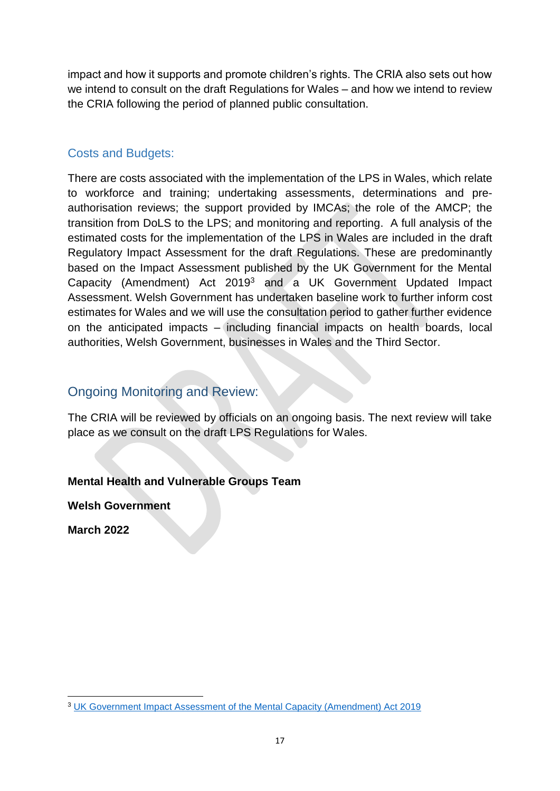impact and how it supports and promote children's rights. The CRIA also sets out how we intend to consult on the draft Regulations for Wales – and how we intend to review the CRIA following the period of planned public consultation.

### Costs and Budgets:

There are costs associated with the implementation of the LPS in Wales, which relate to workforce and training; undertaking assessments, determinations and preauthorisation reviews; the support provided by IMCAs; the role of the AMCP; the transition from DoLS to the LPS; and monitoring and reporting. A full analysis of the estimated costs for the implementation of the LPS in Wales are included in the draft Regulatory Impact Assessment for the draft Regulations. These are predominantly based on the Impact Assessment published by the UK Government for the Mental Capacity (Amendment) Act 2019<sup>3</sup> and a UK Government Updated Impact Assessment. Welsh Government has undertaken baseline work to further inform cost estimates for Wales and we will use the consultation period to gather further evidence on the anticipated impacts – including financial impacts on health boards, local authorities, Welsh Government, businesses in Wales and the Third Sector.

## Ongoing Monitoring and Review:

The CRIA will be reviewed by officials on an ongoing basis. The next review will take place as we consult on the draft LPS Regulations for Wales.

### **Mental Health and Vulnerable Groups Team**

**Welsh Government**

**March 2022**

**<sup>.</sup>** <sup>3</sup> [UK Government Impact Assessment of the Mental Capacity \(Amendment\) Act 2019](https://www.gov.uk/government/publications/impact-assessment-of-the-mental-capacity-amendment-act-2019)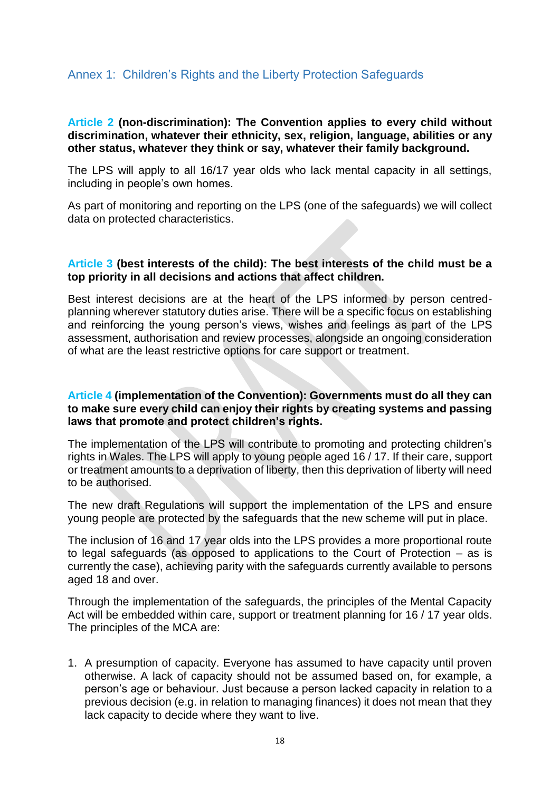### Annex 1: Children's Rights and the Liberty Protection Safeguards

#### **Article 2 (non-discrimination): The Convention applies to every child without discrimination, whatever their ethnicity, sex, religion, language, abilities or any other status, whatever they think or say, whatever their family background.**

The LPS will apply to all 16/17 year olds who lack mental capacity in all settings, including in people's own homes.

As part of monitoring and reporting on the LPS (one of the safeguards) we will collect data on protected characteristics.

#### **Article 3 (best interests of the child): The best interests of the child must be a top priority in all decisions and actions that affect children.**

Best interest decisions are at the heart of the LPS informed by person centredplanning wherever statutory duties arise. There will be a specific focus on establishing and reinforcing the young person's views, wishes and feelings as part of the LPS assessment, authorisation and review processes, alongside an ongoing consideration of what are the least restrictive options for care support or treatment.

#### **Article 4 (implementation of the Convention): Governments must do all they can to make sure every child can enjoy their rights by creating systems and passing laws that promote and protect children's rights.**

The implementation of the LPS will contribute to promoting and protecting children's rights in Wales. The LPS will apply to young people aged 16 / 17. If their care, support or treatment amounts to a deprivation of liberty, then this deprivation of liberty will need to be authorised.

The new draft Regulations will support the implementation of the LPS and ensure young people are protected by the safeguards that the new scheme will put in place.

The inclusion of 16 and 17 year olds into the LPS provides a more proportional route to legal safeguards (as opposed to applications to the Court of Protection – as is currently the case), achieving parity with the safeguards currently available to persons aged 18 and over.

Through the implementation of the safeguards, the principles of the Mental Capacity Act will be embedded within care, support or treatment planning for 16 / 17 year olds. The principles of the MCA are:

1. A presumption of capacity. Everyone has assumed to have capacity until proven otherwise. A lack of capacity should not be assumed based on, for example, a person's age or behaviour. Just because a person lacked capacity in relation to a previous decision (e.g. in relation to managing finances) it does not mean that they lack capacity to decide where they want to live.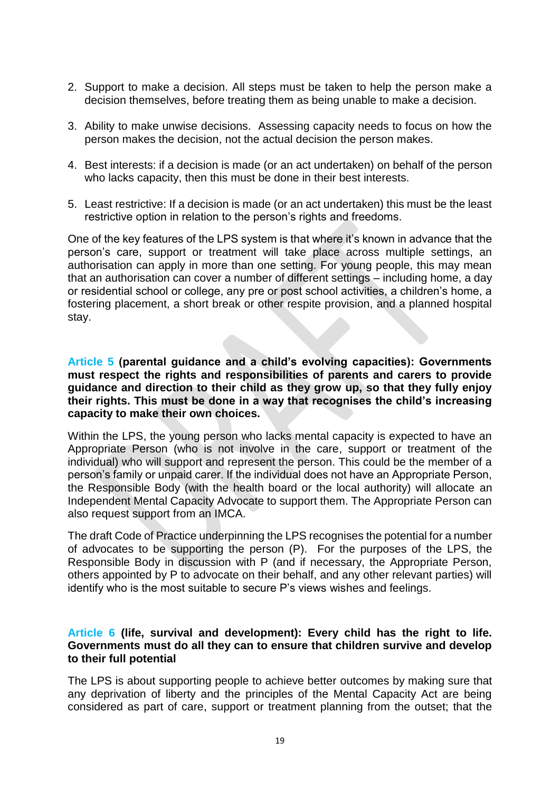- 2. Support to make a decision. All steps must be taken to help the person make a decision themselves, before treating them as being unable to make a decision.
- 3. Ability to make unwise decisions. Assessing capacity needs to focus on how the person makes the decision, not the actual decision the person makes.
- 4. Best interests: if a decision is made (or an act undertaken) on behalf of the person who lacks capacity, then this must be done in their best interests.
- 5. Least restrictive: If a decision is made (or an act undertaken) this must be the least restrictive option in relation to the person's rights and freedoms.

One of the key features of the LPS system is that where it's known in advance that the person's care, support or treatment will take place across multiple settings, an authorisation can apply in more than one setting. For young people, this may mean that an authorisation can cover a number of different settings – including home, a day or residential school or college, any pre or post school activities, a children's home, a fostering placement, a short break or other respite provision, and a planned hospital stay.

#### **Article 5 (parental guidance and a child's evolving capacities): Governments must respect the rights and responsibilities of parents and carers to provide guidance and direction to their child as they grow up, so that they fully enjoy their rights. This must be done in a way that recognises the child's increasing capacity to make their own choices.**

Within the LPS, the young person who lacks mental capacity is expected to have an Appropriate Person (who is not involve in the care, support or treatment of the individual) who will support and represent the person. This could be the member of a person's family or unpaid carer. If the individual does not have an Appropriate Person, the Responsible Body (with the health board or the local authority) will allocate an Independent Mental Capacity Advocate to support them. The Appropriate Person can also request support from an IMCA.

The draft Code of Practice underpinning the LPS recognises the potential for a number of advocates to be supporting the person (P). For the purposes of the LPS, the Responsible Body in discussion with P (and if necessary, the Appropriate Person, others appointed by P to advocate on their behalf, and any other relevant parties) will identify who is the most suitable to secure P's views wishes and feelings.

#### **Article 6 (life, survival and development): Every child has the right to life. Governments must do all they can to ensure that children survive and develop to their full potential**

The LPS is about supporting people to achieve better outcomes by making sure that any deprivation of liberty and the principles of the Mental Capacity Act are being considered as part of care, support or treatment planning from the outset; that the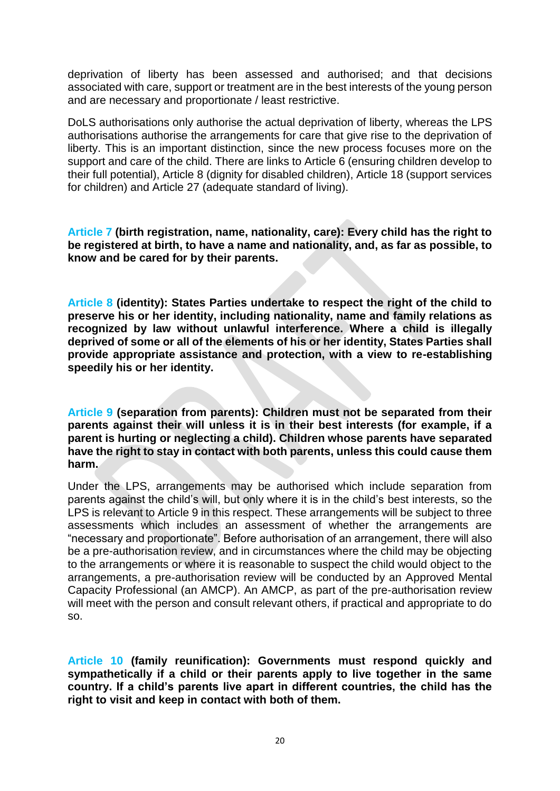deprivation of liberty has been assessed and authorised; and that decisions associated with care, support or treatment are in the best interests of the young person and are necessary and proportionate / least restrictive.

DoLS authorisations only authorise the actual deprivation of liberty, whereas the LPS authorisations authorise the arrangements for care that give rise to the deprivation of liberty. This is an important distinction, since the new process focuses more on the support and care of the child. There are links to Article 6 (ensuring children develop to their full potential), Article 8 (dignity for disabled children), Article 18 (support services for children) and Article 27 (adequate standard of living).

**Article 7 (birth registration, name, nationality, care): Every child has the right to be registered at birth, to have a name and nationality, and, as far as possible, to know and be cared for by their parents.**

**Article 8 (identity): States Parties undertake to respect the right of the child to preserve his or her identity, including nationality, name and family relations as recognized by law without unlawful interference. Where a child is illegally deprived of some or all of the elements of his or her identity, States Parties shall provide appropriate assistance and protection, with a view to re-establishing speedily his or her identity.**

**Article 9 (separation from parents): Children must not be separated from their parents against their will unless it is in their best interests (for example, if a parent is hurting or neglecting a child). Children whose parents have separated have the right to stay in contact with both parents, unless this could cause them harm.**

Under the LPS, arrangements may be authorised which include separation from parents against the child's will, but only where it is in the child's best interests, so the LPS is relevant to Article 9 in this respect. These arrangements will be subject to three assessments which includes an assessment of whether the arrangements are "necessary and proportionate". Before authorisation of an arrangement, there will also be a pre-authorisation review, and in circumstances where the child may be objecting to the arrangements or where it is reasonable to suspect the child would object to the arrangements, a pre-authorisation review will be conducted by an Approved Mental Capacity Professional (an AMCP). An AMCP, as part of the pre-authorisation review will meet with the person and consult relevant others, if practical and appropriate to do so.

**Article 10 (family reunification): Governments must respond quickly and sympathetically if a child or their parents apply to live together in the same country. If a child's parents live apart in different countries, the child has the right to visit and keep in contact with both of them.**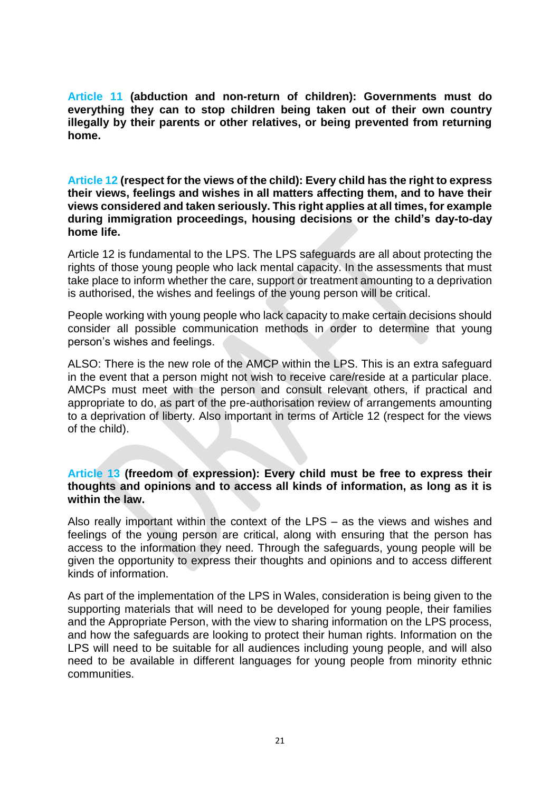**Article 11 (abduction and non-return of children): Governments must do everything they can to stop children being taken out of their own country illegally by their parents or other relatives, or being prevented from returning home.**

**Article 12 (respect for the views of the child): Every child has the right to express their views, feelings and wishes in all matters affecting them, and to have their views considered and taken seriously. This right applies at all times, for example during immigration proceedings, housing decisions or the child's day-to-day home life.**

Article 12 is fundamental to the LPS. The LPS safeguards are all about protecting the rights of those young people who lack mental capacity. In the assessments that must take place to inform whether the care, support or treatment amounting to a deprivation is authorised, the wishes and feelings of the young person will be critical.

People working with young people who lack capacity to make certain decisions should consider all possible communication methods in order to determine that young person's wishes and feelings.

ALSO: There is the new role of the AMCP within the LPS. This is an extra safeguard in the event that a person might not wish to receive care/reside at a particular place. AMCPs must meet with the person and consult relevant others, if practical and appropriate to do, as part of the pre-authorisation review of arrangements amounting to a deprivation of liberty. Also important in terms of Article 12 (respect for the views of the child).

#### **Article 13 (freedom of expression): Every child must be free to express their thoughts and opinions and to access all kinds of information, as long as it is within the law.**

Also really important within the context of the LPS – as the views and wishes and feelings of the young person are critical, along with ensuring that the person has access to the information they need. Through the safeguards, young people will be given the opportunity to express their thoughts and opinions and to access different kinds of information.

As part of the implementation of the LPS in Wales, consideration is being given to the supporting materials that will need to be developed for young people, their families and the Appropriate Person, with the view to sharing information on the LPS process, and how the safeguards are looking to protect their human rights. Information on the LPS will need to be suitable for all audiences including young people, and will also need to be available in different languages for young people from minority ethnic communities.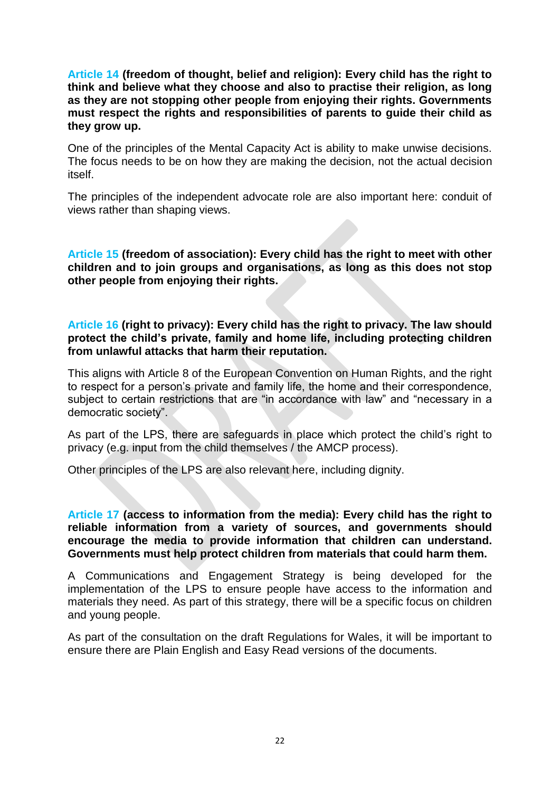**Article 14 (freedom of thought, belief and religion): Every child has the right to think and believe what they choose and also to practise their religion, as long as they are not stopping other people from enjoying their rights. Governments must respect the rights and responsibilities of parents to guide their child as they grow up.**

One of the principles of the Mental Capacity Act is ability to make unwise decisions. The focus needs to be on how they are making the decision, not the actual decision itself.

The principles of the independent advocate role are also important here: conduit of views rather than shaping views.

**Article 15 (freedom of association): Every child has the right to meet with other children and to join groups and organisations, as long as this does not stop other people from enjoying their rights.**

**Article 16 (right to privacy): Every child has the right to privacy. The law should protect the child's private, family and home life, including protecting children from unlawful attacks that harm their reputation.**

This aligns with Article 8 of the European Convention on Human Rights, and the right to respect for a person's private and family life, the home and their correspondence, subject to certain restrictions that are "in accordance with law" and "necessary in a democratic society".

As part of the LPS, there are safeguards in place which protect the child's right to privacy (e.g. input from the child themselves / the AMCP process).

Other principles of the LPS are also relevant here, including dignity.

**Article 17 (access to information from the media): Every child has the right to reliable information from a variety of sources, and governments should encourage the media to provide information that children can understand. Governments must help protect children from materials that could harm them.**

A Communications and Engagement Strategy is being developed for the implementation of the LPS to ensure people have access to the information and materials they need. As part of this strategy, there will be a specific focus on children and young people.

As part of the consultation on the draft Regulations for Wales, it will be important to ensure there are Plain English and Easy Read versions of the documents.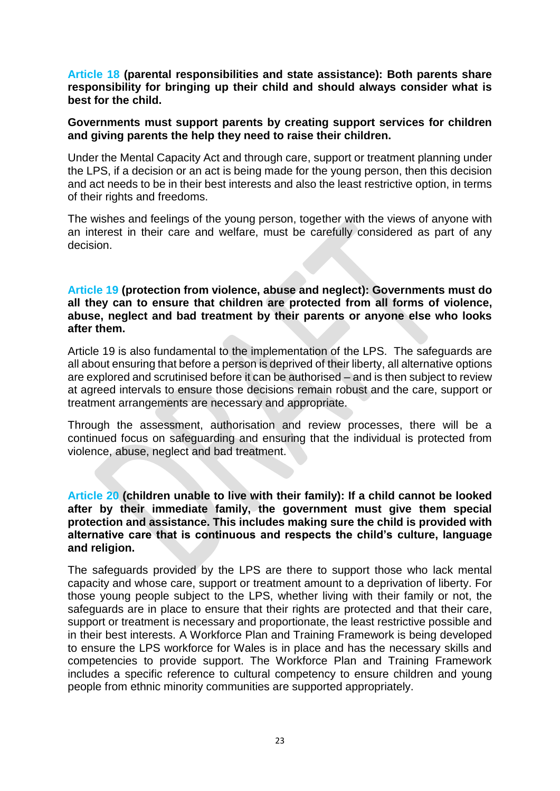**Article 18 (parental responsibilities and state assistance): Both parents share responsibility for bringing up their child and should always consider what is best for the child.**

#### **Governments must support parents by creating support services for children and giving parents the help they need to raise their children.**

Under the Mental Capacity Act and through care, support or treatment planning under the LPS, if a decision or an act is being made for the young person, then this decision and act needs to be in their best interests and also the least restrictive option, in terms of their rights and freedoms.

The wishes and feelings of the young person, together with the views of anyone with an interest in their care and welfare, must be carefully considered as part of any decision.

#### **Article 19 (protection from violence, abuse and neglect): Governments must do all they can to ensure that children are protected from all forms of violence, abuse, neglect and bad treatment by their parents or anyone else who looks after them.**

Article 19 is also fundamental to the implementation of the LPS. The safeguards are all about ensuring that before a person is deprived of their liberty, all alternative options are explored and scrutinised before it can be authorised – and is then subject to review at agreed intervals to ensure those decisions remain robust and the care, support or treatment arrangements are necessary and appropriate.

Through the assessment, authorisation and review processes, there will be a continued focus on safeguarding and ensuring that the individual is protected from violence, abuse, neglect and bad treatment.

#### **Article 20 (children unable to live with their family): If a child cannot be looked after by their immediate family, the government must give them special protection and assistance. This includes making sure the child is provided with alternative care that is continuous and respects the child's culture, language and religion.**

The safeguards provided by the LPS are there to support those who lack mental capacity and whose care, support or treatment amount to a deprivation of liberty. For those young people subject to the LPS, whether living with their family or not, the safeguards are in place to ensure that their rights are protected and that their care, support or treatment is necessary and proportionate, the least restrictive possible and in their best interests. A Workforce Plan and Training Framework is being developed to ensure the LPS workforce for Wales is in place and has the necessary skills and competencies to provide support. The Workforce Plan and Training Framework includes a specific reference to cultural competency to ensure children and young people from ethnic minority communities are supported appropriately.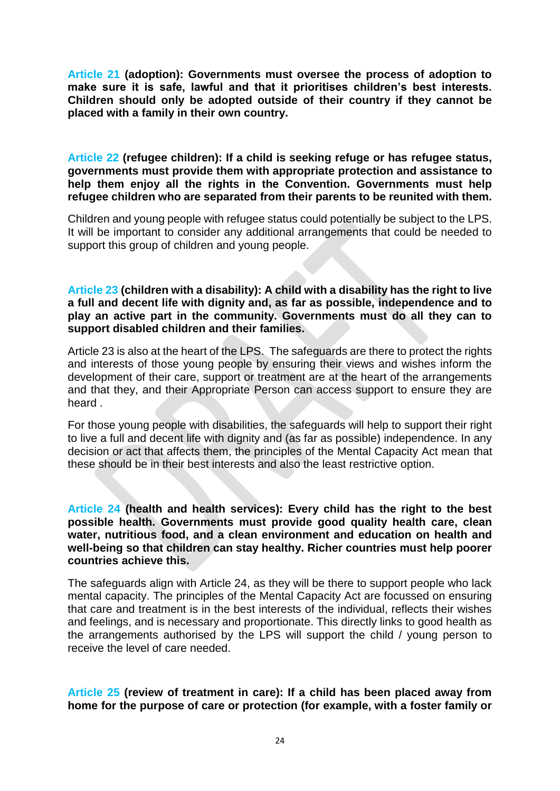**Article 21 (adoption): Governments must oversee the process of adoption to make sure it is safe, lawful and that it prioritises children's best interests. Children should only be adopted outside of their country if they cannot be placed with a family in their own country.**

**Article 22 (refugee children): If a child is seeking refuge or has refugee status, governments must provide them with appropriate protection and assistance to help them enjoy all the rights in the Convention. Governments must help refugee children who are separated from their parents to be reunited with them.**

Children and young people with refugee status could potentially be subject to the LPS. It will be important to consider any additional arrangements that could be needed to support this group of children and young people.

**Article 23 (children with a disability): A child with a disability has the right to live a full and decent life with dignity and, as far as possible, independence and to play an active part in the community. Governments must do all they can to support disabled children and their families.**

Article 23 is also at the heart of the LPS. The safeguards are there to protect the rights and interests of those young people by ensuring their views and wishes inform the development of their care, support or treatment are at the heart of the arrangements and that they, and their Appropriate Person can access support to ensure they are heard .

For those young people with disabilities, the safeguards will help to support their right to live a full and decent life with dignity and (as far as possible) independence. In any decision or act that affects them, the principles of the Mental Capacity Act mean that these should be in their best interests and also the least restrictive option.

**Article 24 (health and health services): Every child has the right to the best possible health. Governments must provide good quality health care, clean water, nutritious food, and a clean environment and education on health and well-being so that children can stay healthy. Richer countries must help poorer countries achieve this.**

The safeguards align with Article 24, as they will be there to support people who lack mental capacity. The principles of the Mental Capacity Act are focussed on ensuring that care and treatment is in the best interests of the individual, reflects their wishes and feelings, and is necessary and proportionate. This directly links to good health as the arrangements authorised by the LPS will support the child / young person to receive the level of care needed.

**Article 25 (review of treatment in care): If a child has been placed away from home for the purpose of care or protection (for example, with a foster family or**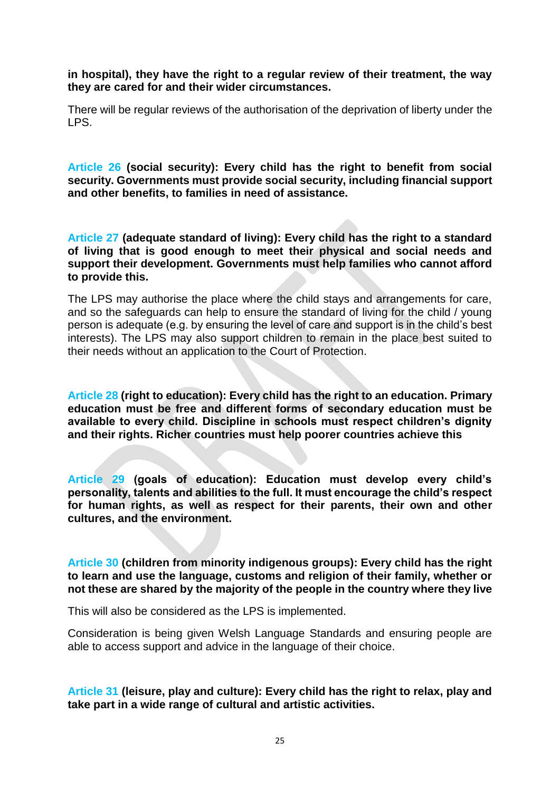**in hospital), they have the right to a regular review of their treatment, the way they are cared for and their wider circumstances.**

There will be regular reviews of the authorisation of the deprivation of liberty under the LPS.

**Article 26 (social security): Every child has the right to benefit from social security. Governments must provide social security, including financial support and other benefits, to families in need of assistance.**

**Article 27 (adequate standard of living): Every child has the right to a standard of living that is good enough to meet their physical and social needs and support their development. Governments must help families who cannot afford to provide this.**

The LPS may authorise the place where the child stays and arrangements for care, and so the safeguards can help to ensure the standard of living for the child / young person is adequate (e.g. by ensuring the level of care and support is in the child's best interests). The LPS may also support children to remain in the place best suited to their needs without an application to the Court of Protection.

**Article 28 (right to education): Every child has the right to an education. Primary education must be free and different forms of secondary education must be available to every child. Discipline in schools must respect children's dignity and their rights. Richer countries must help poorer countries achieve this**

**Article 29 (goals of education): Education must develop every child's personality, talents and abilities to the full. It must encourage the child's respect for human rights, as well as respect for their parents, their own and other cultures, and the environment.**

**Article 30 (children from minority indigenous groups): Every child has the right to learn and use the language, customs and religion of their family, whether or not these are shared by the majority of the people in the country where they live**

This will also be considered as the LPS is implemented.

Consideration is being given Welsh Language Standards and ensuring people are able to access support and advice in the language of their choice.

**Article 31 (leisure, play and culture): Every child has the right to relax, play and take part in a wide range of cultural and artistic activities.**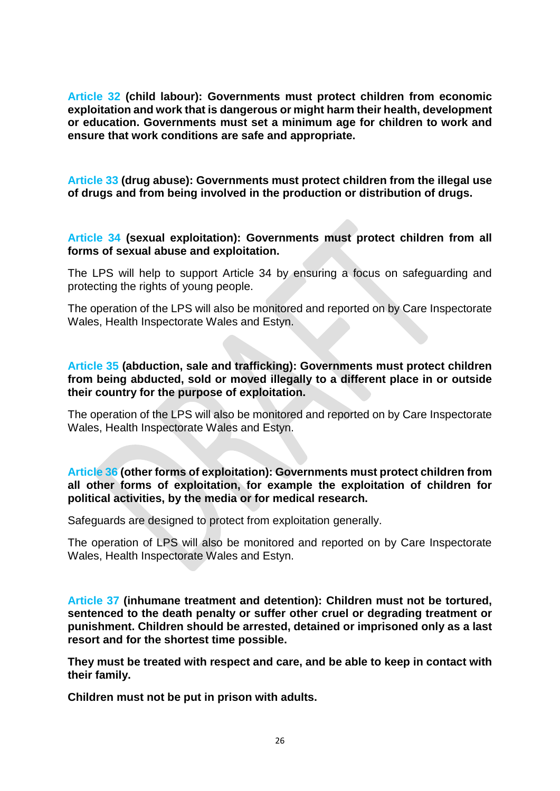**Article 32 (child labour): Governments must protect children from economic exploitation and work that is dangerous or might harm their health, development or education. Governments must set a minimum age for children to work and ensure that work conditions are safe and appropriate.**

**Article 33 (drug abuse): Governments must protect children from the illegal use of drugs and from being involved in the production or distribution of drugs.**

**Article 34 (sexual exploitation): Governments must protect children from all forms of sexual abuse and exploitation.**

The LPS will help to support Article 34 by ensuring a focus on safeguarding and protecting the rights of young people.

The operation of the LPS will also be monitored and reported on by Care Inspectorate Wales, Health Inspectorate Wales and Estyn.

#### **Article 35 (abduction, sale and trafficking): Governments must protect children from being abducted, sold or moved illegally to a different place in or outside their country for the purpose of exploitation.**

The operation of the LPS will also be monitored and reported on by Care Inspectorate Wales, Health Inspectorate Wales and Estyn.

**Article 36 (other forms of exploitation): Governments must protect children from all other forms of exploitation, for example the exploitation of children for political activities, by the media or for medical research.**

Safeguards are designed to protect from exploitation generally.

The operation of LPS will also be monitored and reported on by Care Inspectorate Wales, Health Inspectorate Wales and Estyn.

**Article 37 (inhumane treatment and detention): Children must not be tortured, sentenced to the death penalty or suffer other cruel or degrading treatment or punishment. Children should be arrested, detained or imprisoned only as a last resort and for the shortest time possible.** 

**They must be treated with respect and care, and be able to keep in contact with their family.** 

**Children must not be put in prison with adults.**